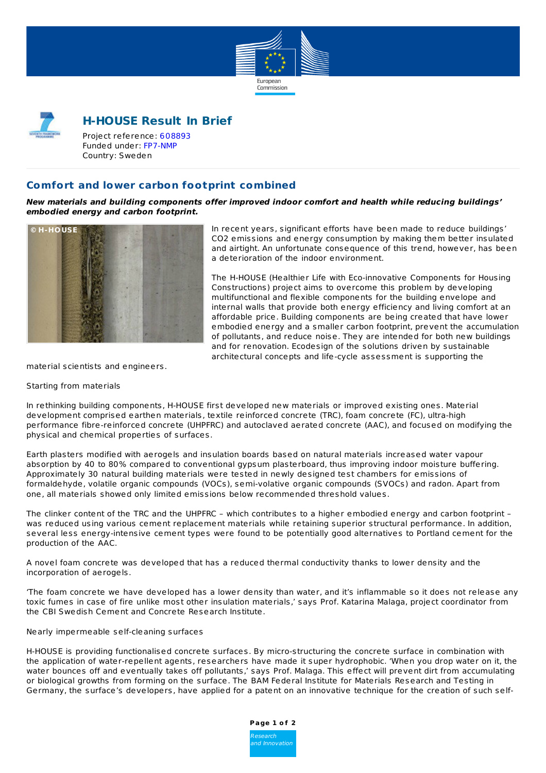



# **H-HOUSE Result In Brief**

Project reference: [608893](http://cordis.europa.eu/project/rcn/108699_en.html) Funded under: [FP7-NMP](http://cordis.europa.eu/programme/rcn/854_en.html) Country: Sweden

## **Comfort and lower carbon footprint combined**

**New materials and building components offer improved indoor comfort and health while reducing buildings' embodied energy and carbon footprint.**



In recent years, significant efforts have been made to reduce buildings' CO2 emissions and energy consumption by making them better insulated and airtight. An unfortunate consequence of this trend, however, has been a deterioration of the indoor environment.

The H-HOUSE (Healthier Life with Eco-innovative Components for Housing Constructions) project aims to overcome this problem by developing multifunctional and flexible components for the building envelope and internal walls that provide both energy efficiency and living comfort at an affordable price. Building components are being created that have lower embodied energy and a smaller carbon footprint, prevent the accumulation of pollutants, and reduce noise. They are intended for both new buildings and for renovation. Ecodesign of the solutions driven by sustainable architectural concepts and life-cycle assessment is supporting the

material scientists and engineers.

#### Starting from materials

In rethinking building components, H-HOUSE first developed new materials or improved existing ones. Material development comprised earthen materials, textile reinforced concrete (TRC), foam concrete (FC), ultra-high performance fibre-reinforced concrete (UHPFRC) and autoclaved aerated concrete (AAC), and focused on modifying the physical and chemical properties of surfaces.

Earth plasters modified with aerogels and insulation boards based on natural materials increased water vapour absorption by 40 to 80% compared to conventional gypsum plasterboard, thus improving indoor moisture buffering. Approximately 30 natural building materials were tested in newly designed test chambers for emissions of formaldehyde, volatile organic compounds (VOCs), semi-volative organic compounds (SVOCs) and radon. Apart from one, all materials showed only limited emissions below recommended threshold values.

The clinker content of the TRC and the UHPFRC – which contributes to a higher embodied energy and carbon footprint – was reduced using various cement replacement materials while retaining superior structural performance. In addition, several less energy-intensive cement types were found to be potentially good alternatives to Portland cement for the production of the AAC.

A novel foam concrete was developed that has a reduced thermal conductivity thanks to lower density and the incorporation of aerogels.

'The foam concrete we have developed has a lower density than water, and it's inflammable so it does not release any toxic fumes in case of fire unlike most other insulation materials,' says Prof. Katarina Malaga, project coordinator from the CBI Swedish Cement and Concrete Research Institute.

#### Nearly impermeable self-cleaning surfaces

H-HOUSE is providing functionalised concrete surfaces. By micro-structuring the concrete surface in combination with the application of water-repellent agents, researchers have made it super hydrophobic. 'When you drop water on it, the water bounces off and eventually takes off pollutants,' says Prof. Malaga. This effect will prevent dirt from accumulating or biological growths from forming on the surface. The BAM Federal Institute for Materials Research and Testing in Germany, the surface's developers, have applied for a patent on an innovative technique for the creation of such self-